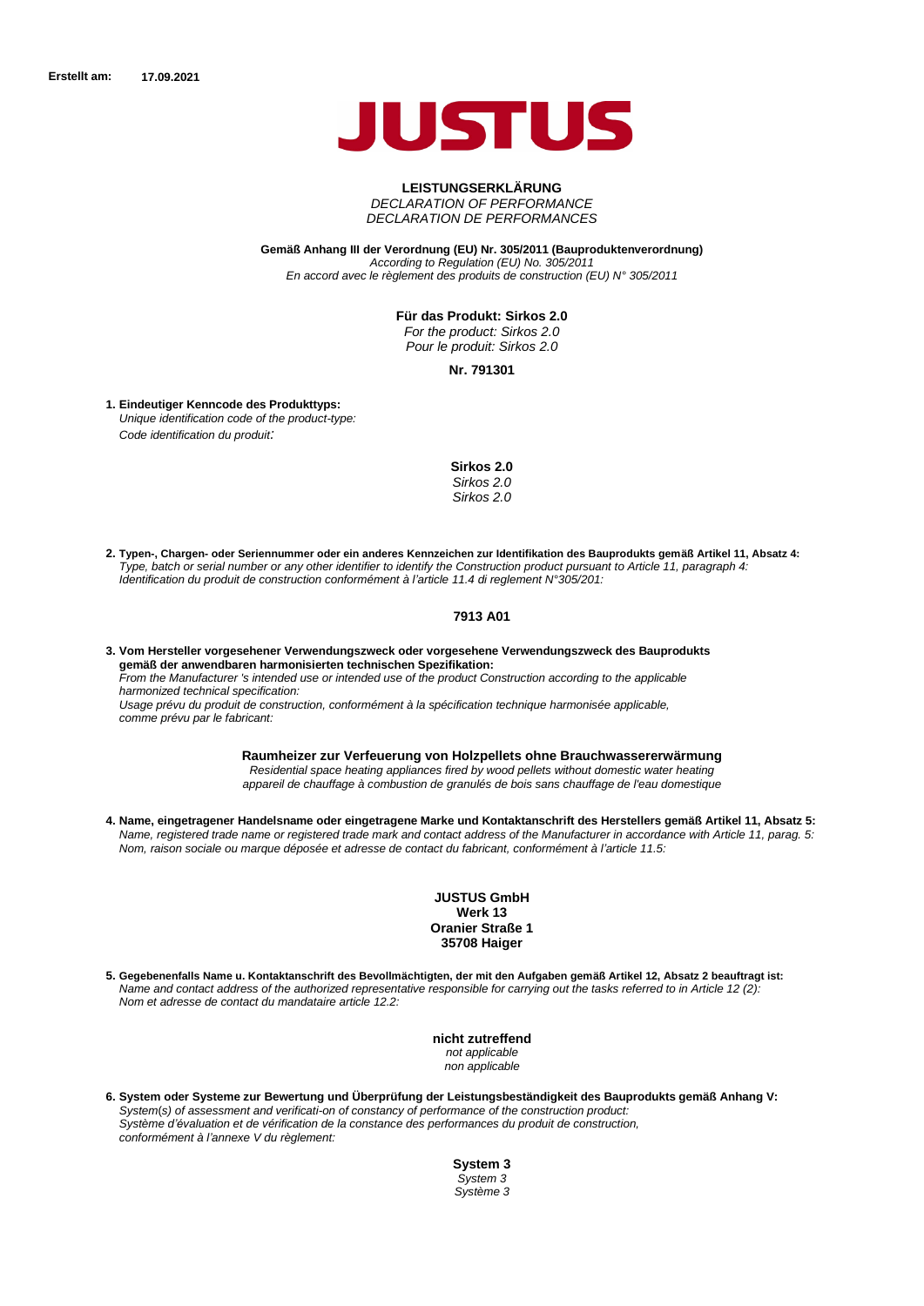

# **LEISTUNGSERKLÄRUNG** *DECLARATION OF PERFORMANCE*

*DECLARATION DE PERFORMANCES*

**Gemäß Anhang III der Verordnung (EU) Nr. 305/2011 (Bauproduktenverordnung)** *According to Regulation (EU) No. 305/2011 En accord avec le règlement des produits de construction (EU) N° 305/2011*

**Für das Produkt: Sirkos 2.0**

*For the product: Sirkos 2.0 Pour le produit: Sirkos 2.0*

**Nr. 791301**

**Eindeutiger Kenncode des Produkttyps: 1.** *Unique identification code of the product-type: Code identification du produit:*

**Sirkos 2.0**

*Sirkos 2.0 Sirkos 2.0*

**2. Typen-, Chargen- oder Seriennummer oder ein anderes Kennzeichen zur Identifikation des Bauprodukts gemäß Artikel 11, Absatz 4:** *Type, batch or serial number or any other identifier to identify the Construction product pursuant to Article 11, paragraph 4: Identification du produit de construction conformément à l'article 11.4 di reglement N°305/201:*

#### **7913 A01**

**3. Vom Hersteller vorgesehener Verwendungszweck oder vorgesehene Verwendungszweck des Bauprodukts gemäß der anwendbaren harmonisierten technischen Spezifikation:** *From the Manufacturer 's intended use or intended use of the product Construction according to the applicable harmonized technical specification: Usage prévu du produit de construction, conformément à la spécification technique harmonisée applicable, comme prévu par le fabricant:*

> **Raumheizer zur Verfeuerung von Holzpellets ohne Brauchwassererwärmung** *Residential space heating appliances fired by wood pellets without domestic water heating appareil de chauffage à combustion de granulés de bois sans chauffage de l'eau domestique*

**4. Name, eingetragener Handelsname oder eingetragene Marke und Kontaktanschrift des Herstellers gemäß Artikel 11, Absatz 5:** *Name, registered trade name or registered trade mark and contact address of the Manufacturer in accordance with Article 11, parag. 5: Nom, raison sociale ou marque déposée et adresse de contact du fabricant, conformément à l'article 11.5:*

> **JUSTUS GmbH Werk 13 Oranier Straße 1 35708 Haiger**

**5. Gegebenenfalls Name u. Kontaktanschrift des Bevollmächtigten, der mit den Aufgaben gemäß Artikel 12, Absatz 2 beauftragt ist:** *Name and contact address of the authorized representative responsible for carrying out the tasks referred to in Article 12 (2): Nom et adresse de contact du mandataire article 12.2:*

> **nicht zutreffend** *not applicable non applicable*

**6. System oder Systeme zur Bewertung und Überprüfung der Leistungsbeständigkeit des Bauprodukts gemäß Anhang V:** *System*(*s) of assessment and verificati-on of constancy of performance of the construction product: Système d'évaluation et de vérification de la constance des performances du produit de construction, conformément à l'annexe V du règlement:*

> **System 3** *System 3 Système 3*